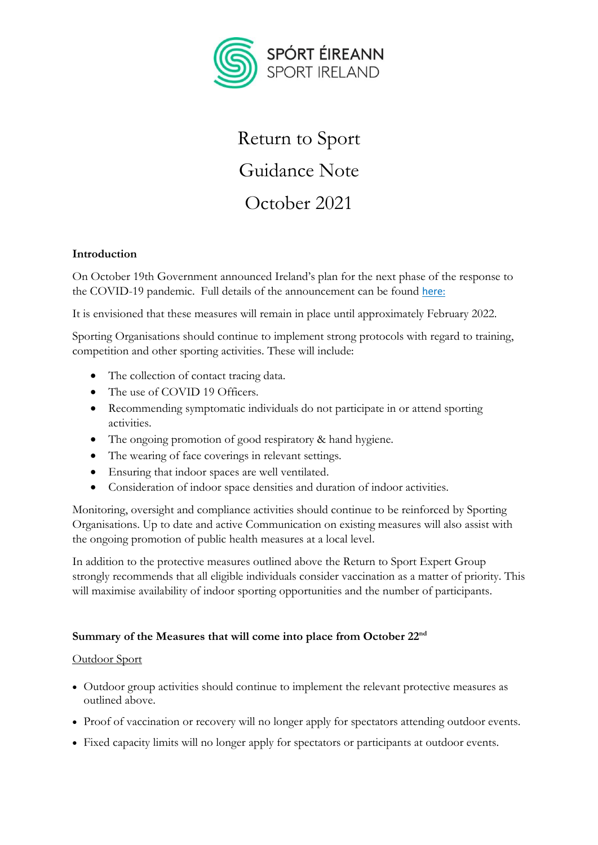

# Return to Sport Guidance Note October 2021

# **Introduction**

On October 19th Government announced Ireland's plan for the next phase of the response to the COVID-19 pandemic. Full details of the announcement can be found [here](https://www.gov.ie/en/publication/3361b-public-health-updates/):

It is envisioned that these measures will remain in place until approximately February 2022.

Sporting Organisations should continue to implement strong protocols with regard to training, competition and other sporting activities. These will include:

- The collection of contact tracing data.
- The use of COVID 19 Officers.
- Recommending symptomatic individuals do not participate in or attend sporting activities.
- The ongoing promotion of good respiratory & hand hygiene.
- The wearing of face coverings in relevant settings.
- Ensuring that indoor spaces are well ventilated.
- Consideration of indoor space densities and duration of indoor activities.

Monitoring, oversight and compliance activities should continue to be reinforced by Sporting Organisations. Up to date and active Communication on existing measures will also assist with the ongoing promotion of public health measures at a local level.

In addition to the protective measures outlined above the Return to Sport Expert Group strongly recommends that all eligible individuals consider vaccination as a matter of priority. This will maximise availability of indoor sporting opportunities and the number of participants.

## **Summary of the Measures that will come into place from October 22nd**

## Outdoor Sport

- Outdoor group activities should continue to implement the relevant protective measures as outlined above.
- Proof of vaccination or recovery will no longer apply for spectators attending outdoor events.
- Fixed capacity limits will no longer apply for spectators or participants at outdoor events.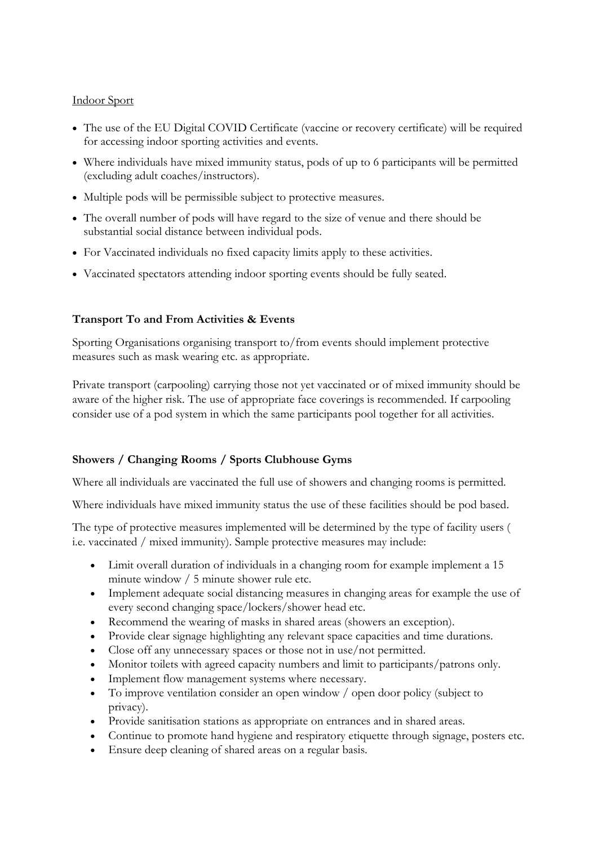#### Indoor Sport

- The use of the [EU Digital COVID Certificate](https://www.gov.ie/en/publication/3a698-eu-digital-covid-certificate/) (vaccine or recovery certificate) will be required for accessing indoor sporting activities and events.
- Where individuals have mixed immunity status, pods of up to 6 participants will be permitted (excluding adult coaches/instructors).
- Multiple pods will be permissible subject to protective measures.
- The overall number of pods will have regard to the size of venue and there should be substantial social distance between individual pods.
- For Vaccinated individuals no fixed capacity limits apply to these activities.
- Vaccinated spectators attending indoor sporting events should be fully seated.

#### **Transport To and From Activities & Events**

Sporting Organisations organising transport to/from events should implement protective measures such as mask wearing etc. as appropriate.

Private transport (carpooling) carrying those not yet vaccinated or of mixed immunity should be aware of the higher risk. The use of appropriate face coverings is recommended. If carpooling consider use of a pod system in which the same participants pool together for all activities.

## **Showers / Changing Rooms / Sports Clubhouse Gyms**

Where all individuals are vaccinated the full use of showers and changing rooms is permitted.

Where individuals have mixed immunity status the use of these facilities should be pod based.

The type of protective measures implemented will be determined by the type of facility users ( i.e. vaccinated / mixed immunity). Sample protective measures may include:

- Limit overall duration of individuals in a changing room for example implement a 15 minute window / 5 minute shower rule etc.
- Implement adequate social distancing measures in changing areas for example the use of every second changing space/lockers/shower head etc.
- Recommend the wearing of masks in shared areas (showers an exception).
- Provide clear signage highlighting any relevant space capacities and time durations.
- Close off any unnecessary spaces or those not in use/not permitted.
- Monitor toilets with agreed capacity numbers and limit to participants/patrons only.
- Implement flow management systems where necessary.
- To improve ventilation consider an open window / open door policy (subject to privacy).
- Provide sanitisation stations as appropriate on entrances and in shared areas.
- Continue to promote hand hygiene and respiratory etiquette through signage, posters etc.
- Ensure deep cleaning of shared areas on a regular basis.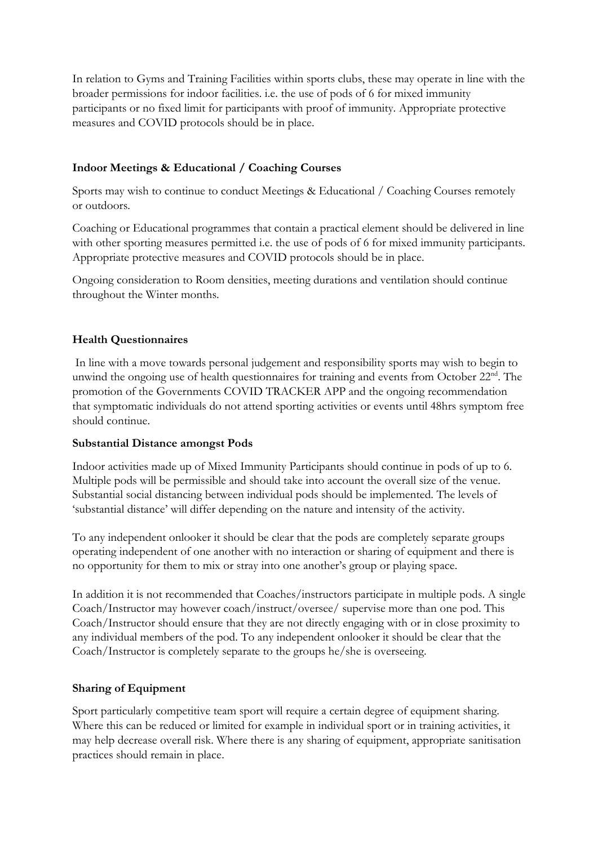In relation to Gyms and Training Facilities within sports clubs, these may operate in line with the broader permissions for indoor facilities. i.e. the use of pods of 6 for mixed immunity participants or no fixed limit for participants with proof of immunity. Appropriate protective measures and COVID protocols should be in place.

# **Indoor Meetings & Educational / Coaching Courses**

Sports may wish to continue to conduct Meetings & Educational / Coaching Courses remotely or outdoors.

Coaching or Educational programmes that contain a practical element should be delivered in line with other sporting measures permitted i.e. the use of pods of 6 for mixed immunity participants. Appropriate protective measures and COVID protocols should be in place.

Ongoing consideration to Room densities, meeting durations and ventilation should continue throughout the Winter months.

## **Health Questionnaires**

In line with a move towards personal judgement and responsibility sports may wish to begin to unwind the ongoing use of health questionnaires for training and events from October 22<sup>nd</sup>. The promotion of the Governments COVID TRACKER APP and the ongoing recommendation that symptomatic individuals do not attend sporting activities or events until 48hrs symptom free should continue.

## **Substantial Distance amongst Pods**

Indoor activities made up of Mixed Immunity Participants should continue in pods of up to 6. Multiple pods will be permissible and should take into account the overall size of the venue. Substantial social distancing between individual pods should be implemented. The levels of 'substantial distance' will differ depending on the nature and intensity of the activity.

To any independent onlooker it should be clear that the pods are completely separate groups operating independent of one another with no interaction or sharing of equipment and there is no opportunity for them to mix or stray into one another's group or playing space.

In addition it is not recommended that Coaches/instructors participate in multiple pods. A single Coach/Instructor may however coach/instruct/oversee/ supervise more than one pod. This Coach/Instructor should ensure that they are not directly engaging with or in close proximity to any individual members of the pod. To any independent onlooker it should be clear that the Coach/Instructor is completely separate to the groups he/she is overseeing.

## **Sharing of Equipment**

Sport particularly competitive team sport will require a certain degree of equipment sharing. Where this can be reduced or limited for example in individual sport or in training activities, it may help decrease overall risk. Where there is any sharing of equipment, appropriate sanitisation practices should remain in place.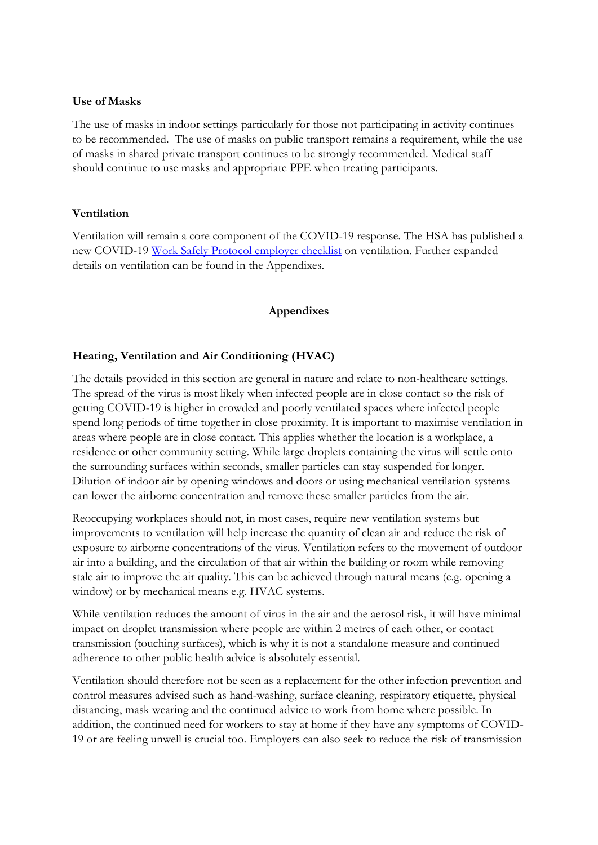#### **Use of Masks**

The use of masks in indoor settings particularly for those not participating in activity continues to be recommended. The use of masks on public transport remains a requirement, while the use of masks in shared private transport continues to be strongly recommended. Medical staff should continue to use masks and appropriate PPE when treating participants.

#### **Ventilation**

Ventilation will remain a core component of the COVID-19 response. The HSA has published a new COVID-19 Work Safely [Protocol employer checklist](https://enterprise.gov.ie/en/Publications/Publication-files/Work-Safely-Protocol.pdf) on ventilation. Further expanded details on ventilation can be found in the Appendixes.

#### **Appendixes**

#### **Heating, Ventilation and Air Conditioning (HVAC)**

The details provided in this section are general in nature and relate to non-healthcare settings. The spread of the virus is most likely when infected people are in close contact so the risk of getting COVID-19 is higher in crowded and poorly ventilated spaces where infected people spend long periods of time together in close proximity. It is important to maximise ventilation in areas where people are in close contact. This applies whether the location is a workplace, a residence or other community setting. While large droplets containing the virus will settle onto the surrounding surfaces within seconds, smaller particles can stay suspended for longer. Dilution of indoor air by opening windows and doors or using mechanical ventilation systems can lower the airborne concentration and remove these smaller particles from the air.

Reoccupying workplaces should not, in most cases, require new ventilation systems but improvements to ventilation will help increase the quantity of clean air and reduce the risk of exposure to airborne concentrations of the virus. Ventilation refers to the movement of outdoor air into a building, and the circulation of that air within the building or room while removing stale air to improve the air quality. This can be achieved through natural means (e.g. opening a window) or by mechanical means e.g. HVAC systems.

While ventilation reduces the amount of virus in the air and the aerosol risk, it will have minimal impact on droplet transmission where people are within 2 metres of each other, or contact transmission (touching surfaces), which is why it is not a standalone measure and continued adherence to other public health advice is absolutely essential.

Ventilation should therefore not be seen as a replacement for the other infection prevention and control measures advised such as hand-washing, surface cleaning, respiratory etiquette, physical distancing, mask wearing and the continued advice to work from home where possible. In addition, the continued need for workers to stay at home if they have any symptoms of COVID-19 or are feeling unwell is crucial too. Employers can also seek to reduce the risk of transmission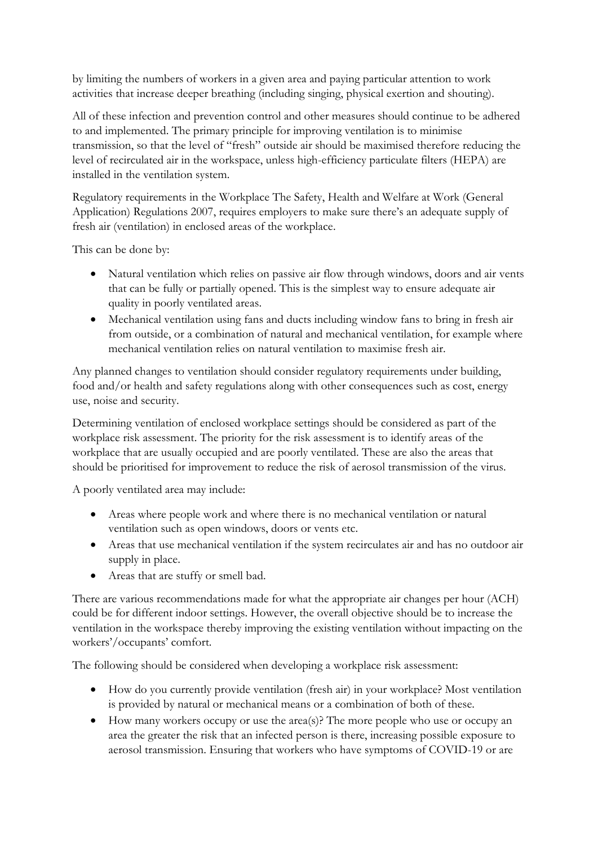by limiting the numbers of workers in a given area and paying particular attention to work activities that increase deeper breathing (including singing, physical exertion and shouting).

All of these infection and prevention control and other measures should continue to be adhered to and implemented. The primary principle for improving ventilation is to minimise transmission, so that the level of "fresh" outside air should be maximised therefore reducing the level of recirculated air in the workspace, unless high-efficiency particulate filters (HEPA) are installed in the ventilation system.

Regulatory requirements in the Workplace The Safety, Health and Welfare at Work (General Application) Regulations 2007, requires employers to make sure there's an adequate supply of fresh air (ventilation) in enclosed areas of the workplace.

This can be done by:

- Natural ventilation which relies on passive air flow through windows, doors and air vents that can be fully or partially opened. This is the simplest way to ensure adequate air quality in poorly ventilated areas.
- Mechanical ventilation using fans and ducts including window fans to bring in fresh air from outside, or a combination of natural and mechanical ventilation, for example where mechanical ventilation relies on natural ventilation to maximise fresh air.

Any planned changes to ventilation should consider regulatory requirements under building, food and/or health and safety regulations along with other consequences such as cost, energy use, noise and security.

Determining ventilation of enclosed workplace settings should be considered as part of the workplace risk assessment. The priority for the risk assessment is to identify areas of the workplace that are usually occupied and are poorly ventilated. These are also the areas that should be prioritised for improvement to reduce the risk of aerosol transmission of the virus.

A poorly ventilated area may include:

- Areas where people work and where there is no mechanical ventilation or natural ventilation such as open windows, doors or vents etc.
- Areas that use mechanical ventilation if the system recirculates air and has no outdoor air supply in place.
- Areas that are stuffy or smell bad.

There are various recommendations made for what the appropriate air changes per hour (ACH) could be for different indoor settings. However, the overall objective should be to increase the ventilation in the workspace thereby improving the existing ventilation without impacting on the workers'/occupants' comfort.

The following should be considered when developing a workplace risk assessment:

- How do you currently provide ventilation (fresh air) in your workplace? Most ventilation is provided by natural or mechanical means or a combination of both of these.
- How many workers occupy or use the area(s)? The more people who use or occupy an area the greater the risk that an infected person is there, increasing possible exposure to aerosol transmission. Ensuring that workers who have symptoms of COVID-19 or are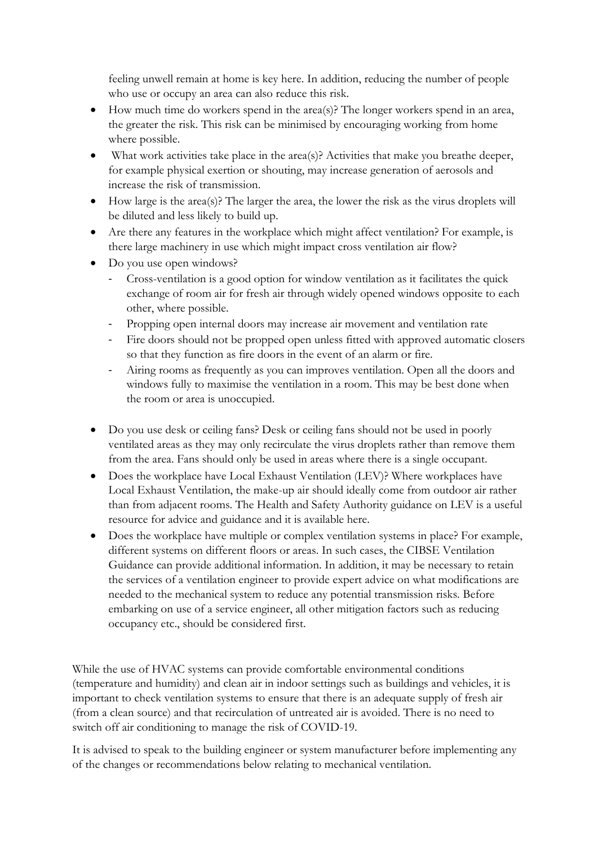feeling unwell remain at home is key here. In addition, reducing the number of people who use or occupy an area can also reduce this risk.

- $\bullet$  How much time do workers spend in the area(s)? The longer workers spend in an area, the greater the risk. This risk can be minimised by encouraging working from home where possible.
- What work activities take place in the area(s)? Activities that make you breathe deeper, for example physical exertion or shouting, may increase generation of aerosols and increase the risk of transmission.
- How large is the area(s)? The larger the area, the lower the risk as the virus droplets will be diluted and less likely to build up.
- Are there any features in the workplace which might affect ventilation? For example, is there large machinery in use which might impact cross ventilation air flow?
- Do you use open windows?
	- Cross-ventilation is a good option for window ventilation as it facilitates the quick exchange of room air for fresh air through widely opened windows opposite to each other, where possible.
	- Propping open internal doors may increase air movement and ventilation rate
	- Fire doors should not be propped open unless fitted with approved automatic closers so that they function as fire doors in the event of an alarm or fire.
	- Airing rooms as frequently as you can improves ventilation. Open all the doors and windows fully to maximise the ventilation in a room. This may be best done when the room or area is unoccupied.
- Do you use desk or ceiling fans? Desk or ceiling fans should not be used in poorly ventilated areas as they may only recirculate the virus droplets rather than remove them from the area. Fans should only be used in areas where there is a single occupant.
- Does the workplace have Local Exhaust Ventilation (LEV)? Where workplaces have Local Exhaust Ventilation, the make-up air should ideally come from outdoor air rather than from adjacent rooms. The Health and Safety Authority guidance on LEV is a useful resource for advice and guidance and it is available here.
- Does the workplace have multiple or complex ventilation systems in place? For example, different systems on different floors or areas. In such cases, the CIBSE Ventilation Guidance can provide additional information. In addition, it may be necessary to retain the services of a ventilation engineer to provide expert advice on what modifications are needed to the mechanical system to reduce any potential transmission risks. Before embarking on use of a service engineer, all other mitigation factors such as reducing occupancy etc., should be considered first.

While the use of HVAC systems can provide comfortable environmental conditions (temperature and humidity) and clean air in indoor settings such as buildings and vehicles, it is important to check ventilation systems to ensure that there is an adequate supply of fresh air (from a clean source) and that recirculation of untreated air is avoided. There is no need to switch off air conditioning to manage the risk of COVID-19.

It is advised to speak to the building engineer or system manufacturer before implementing any of the changes or recommendations below relating to mechanical ventilation.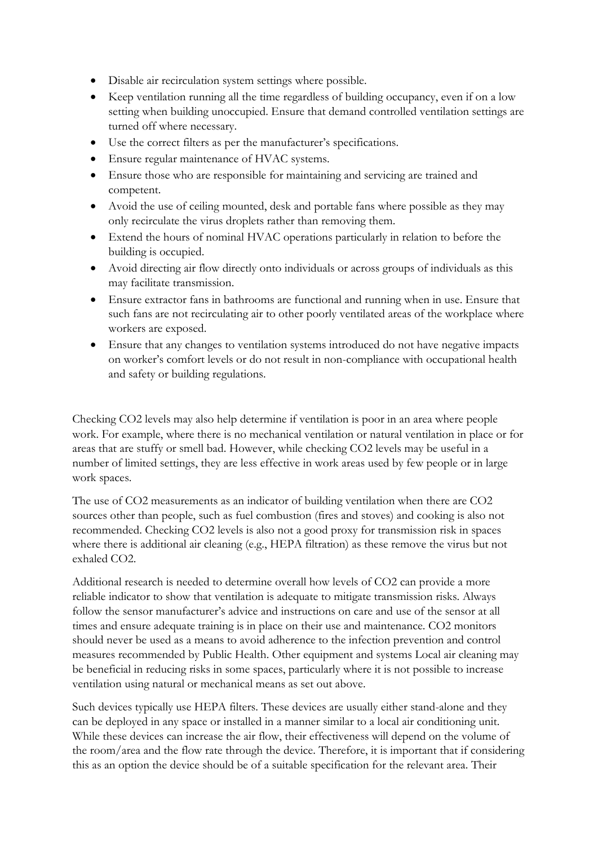- Disable air recirculation system settings where possible.
- Keep ventilation running all the time regardless of building occupancy, even if on a low setting when building unoccupied. Ensure that demand controlled ventilation settings are turned off where necessary.
- Use the correct filters as per the manufacturer's specifications.
- Ensure regular maintenance of HVAC systems.
- Ensure those who are responsible for maintaining and servicing are trained and competent.
- Avoid the use of ceiling mounted, desk and portable fans where possible as they may only recirculate the virus droplets rather than removing them.
- Extend the hours of nominal HVAC operations particularly in relation to before the building is occupied.
- Avoid directing air flow directly onto individuals or across groups of individuals as this may facilitate transmission.
- Ensure extractor fans in bathrooms are functional and running when in use. Ensure that such fans are not recirculating air to other poorly ventilated areas of the workplace where workers are exposed.
- Ensure that any changes to ventilation systems introduced do not have negative impacts on worker's comfort levels or do not result in non-compliance with occupational health and safety or building regulations.

Checking CO2 levels may also help determine if ventilation is poor in an area where people work. For example, where there is no mechanical ventilation or natural ventilation in place or for areas that are stuffy or smell bad. However, while checking CO2 levels may be useful in a number of limited settings, they are less effective in work areas used by few people or in large work spaces.

The use of CO2 measurements as an indicator of building ventilation when there are CO2 sources other than people, such as fuel combustion (fires and stoves) and cooking is also not recommended. Checking CO2 levels is also not a good proxy for transmission risk in spaces where there is additional air cleaning (e.g., HEPA filtration) as these remove the virus but not exhaled CO2.

Additional research is needed to determine overall how levels of CO2 can provide a more reliable indicator to show that ventilation is adequate to mitigate transmission risks. Always follow the sensor manufacturer's advice and instructions on care and use of the sensor at all times and ensure adequate training is in place on their use and maintenance. CO2 monitors should never be used as a means to avoid adherence to the infection prevention and control measures recommended by Public Health. Other equipment and systems Local air cleaning may be beneficial in reducing risks in some spaces, particularly where it is not possible to increase ventilation using natural or mechanical means as set out above.

Such devices typically use HEPA filters. These devices are usually either stand-alone and they can be deployed in any space or installed in a manner similar to a local air conditioning unit. While these devices can increase the air flow, their effectiveness will depend on the volume of the room/area and the flow rate through the device. Therefore, it is important that if considering this as an option the device should be of a suitable specification for the relevant area. Their